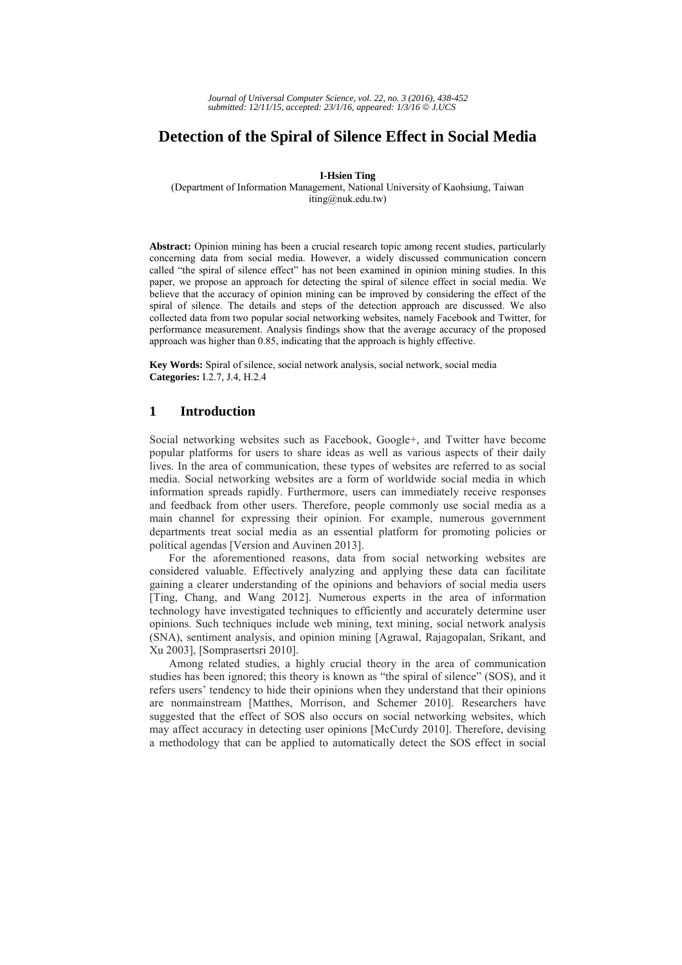# **Detection of the Spiral of Silence Effect in Social Media**

**I-Hsien Ting** 

(Department of Information Management, National University of Kaohsiung, Taiwan iting@nuk.edu.tw)

**Abstract:** Opinion mining has been a crucial research topic among recent studies, particularly concerning data from social media. However, a widely discussed communication concern called "the spiral of silence effect" has not been examined in opinion mining studies. In this paper, we propose an approach for detecting the spiral of silence effect in social media. We believe that the accuracy of opinion mining can be improved by considering the effect of the spiral of silence. The details and steps of the detection approach are discussed. We also collected data from two popular social networking websites, namely Facebook and Twitter, for performance measurement. Analysis findings show that the average accuracy of the proposed approach was higher than 0.85, indicating that the approach is highly effective.

**Key Words:** Spiral of silence, social network analysis, social network, social media **Categories:** I.2.7, J.4, H.2.4

# **1 Introduction**

Social networking websites such as Facebook, Google+, and Twitter have become popular platforms for users to share ideas as well as various aspects of their daily lives. In the area of communication, these types of websites are referred to as social media. Social networking websites are a form of worldwide social media in which information spreads rapidly. Furthermore, users can immediately receive responses and feedback from other users. Therefore, people commonly use social media as a main channel for expressing their opinion. For example, numerous government departments treat social media as an essential platform for promoting policies or political agendas [Version and Auvinen 2013].

For the aforementioned reasons, data from social networking websites are considered valuable. Effectively analyzing and applying these data can facilitate gaining a clearer understanding of the opinions and behaviors of social media users [Ting, Chang, and Wang 2012]. Numerous experts in the area of information technology have investigated techniques to efficiently and accurately determine user opinions. Such techniques include web mining, text mining, social network analysis (SNA), sentiment analysis, and opinion mining [Agrawal, Rajagopalan, Srikant, and Xu 2003], [Somprasertsri 2010].

Among related studies, a highly crucial theory in the area of communication studies has been ignored; this theory is known as "the spiral of silence" (SOS), and it refers users' tendency to hide their opinions when they understand that their opinions are nonmainstream [Matthes, Morrison, and Schemer 2010]. Researchers have suggested that the effect of SOS also occurs on social networking websites, which may affect accuracy in detecting user opinions [McCurdy 2010]. Therefore, devising a methodology that can be applied to automatically detect the SOS effect in social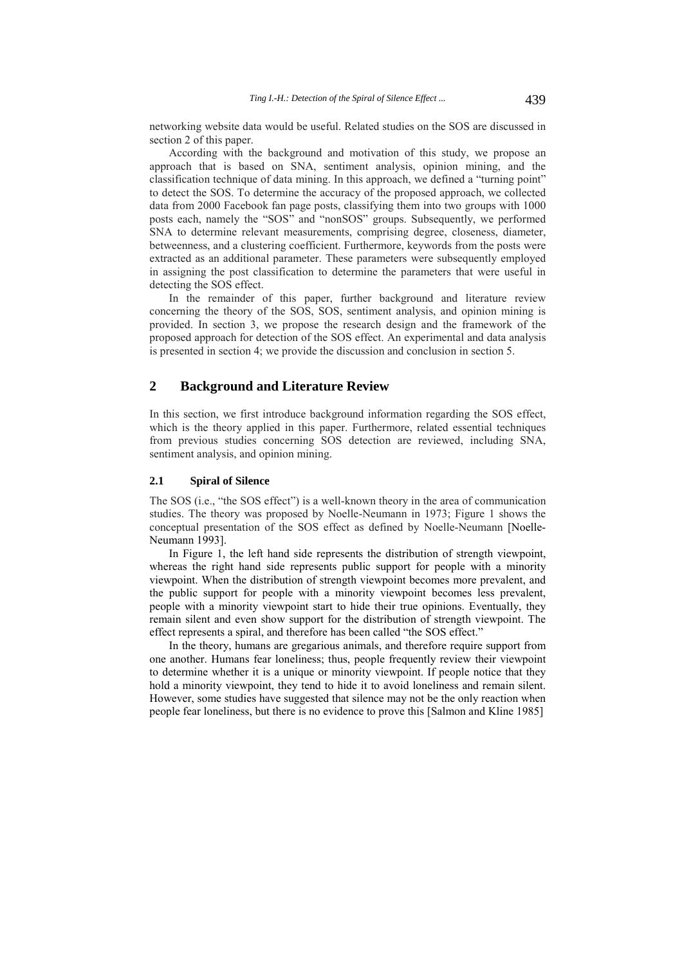networking website data would be useful. Related studies on the SOS are discussed in section 2 of this paper.

According with the background and motivation of this study, we propose an approach that is based on SNA, sentiment analysis, opinion mining, and the classification technique of data mining. In this approach, we defined a "turning point" to detect the SOS. To determine the accuracy of the proposed approach, we collected data from 2000 Facebook fan page posts, classifying them into two groups with 1000 posts each, namely the "SOS" and "nonSOS" groups. Subsequently, we performed SNA to determine relevant measurements, comprising degree, closeness, diameter, betweenness, and a clustering coefficient. Furthermore, keywords from the posts were extracted as an additional parameter. These parameters were subsequently employed in assigning the post classification to determine the parameters that were useful in detecting the SOS effect.

In the remainder of this paper, further background and literature review concerning the theory of the SOS, SOS, sentiment analysis, and opinion mining is provided. In section 3, we propose the research design and the framework of the proposed approach for detection of the SOS effect. An experimental and data analysis is presented in section 4; we provide the discussion and conclusion in section 5.

# **2 Background and Literature Review**

In this section, we first introduce background information regarding the SOS effect, which is the theory applied in this paper. Furthermore, related essential techniques from previous studies concerning SOS detection are reviewed, including SNA, sentiment analysis, and opinion mining.

### **2.1 Spiral of Silence**

The SOS (i.e., "the SOS effect") is a well-known theory in the area of communication studies. The theory was proposed by Noelle-Neumann in 1973; Figure 1 shows the conceptual presentation of the SOS effect as defined by Noelle-Neumann [Noelle-Neumann 1993].

In Figure 1, the left hand side represents the distribution of strength viewpoint, whereas the right hand side represents public support for people with a minority viewpoint. When the distribution of strength viewpoint becomes more prevalent, and the public support for people with a minority viewpoint becomes less prevalent, people with a minority viewpoint start to hide their true opinions. Eventually, they remain silent and even show support for the distribution of strength viewpoint. The effect represents a spiral, and therefore has been called "the SOS effect."

In the theory, humans are gregarious animals, and therefore require support from one another. Humans fear loneliness; thus, people frequently review their viewpoint to determine whether it is a unique or minority viewpoint. If people notice that they hold a minority viewpoint, they tend to hide it to avoid loneliness and remain silent. However, some studies have suggested that silence may not be the only reaction when people fear loneliness, but there is no evidence to prove this [Salmon and Kline 1985]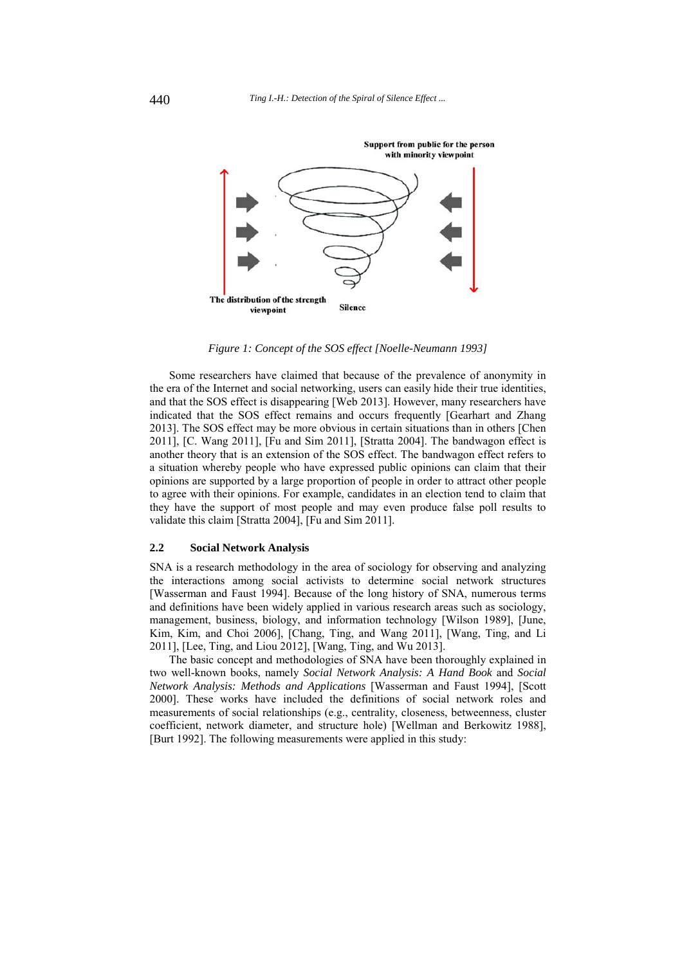

*Figure 1: Concept of the SOS effect [Noelle-Neumann 1993]* 

Some researchers have claimed that because of the prevalence of anonymity in the era of the Internet and social networking, users can easily hide their true identities, and that the SOS effect is disappearing [Web 2013]. However, many researchers have indicated that the SOS effect remains and occurs frequently [Gearhart and Zhang 2013]. The SOS effect may be more obvious in certain situations than in others [Chen 2011], [C. Wang 2011], [Fu and Sim 2011], [Stratta 2004]. The bandwagon effect is another theory that is an extension of the SOS effect. The bandwagon effect refers to a situation whereby people who have expressed public opinions can claim that their opinions are supported by a large proportion of people in order to attract other people to agree with their opinions. For example, candidates in an election tend to claim that they have the support of most people and may even produce false poll results to validate this claim [Stratta 2004], [Fu and Sim 2011].

## **2.2 Social Network Analysis**

SNA is a research methodology in the area of sociology for observing and analyzing the interactions among social activists to determine social network structures [Wasserman and Faust 1994]. Because of the long history of SNA, numerous terms and definitions have been widely applied in various research areas such as sociology, management, business, biology, and information technology [Wilson 1989], [June, Kim, Kim, and Choi 2006], [Chang, Ting, and Wang 2011], [Wang, Ting, and Li 2011], [Lee, Ting, and Liou 2012], [Wang, Ting, and Wu 2013].

The basic concept and methodologies of SNA have been thoroughly explained in two well-known books, namely *Social Network Analysis: A Hand Book* and *Social Network Analysis: Methods and Applications* [Wasserman and Faust 1994], [Scott 2000]. These works have included the definitions of social network roles and measurements of social relationships (e.g., centrality, closeness, betweenness, cluster coefficient, network diameter, and structure hole) [Wellman and Berkowitz 1988], [Burt 1992]. The following measurements were applied in this study: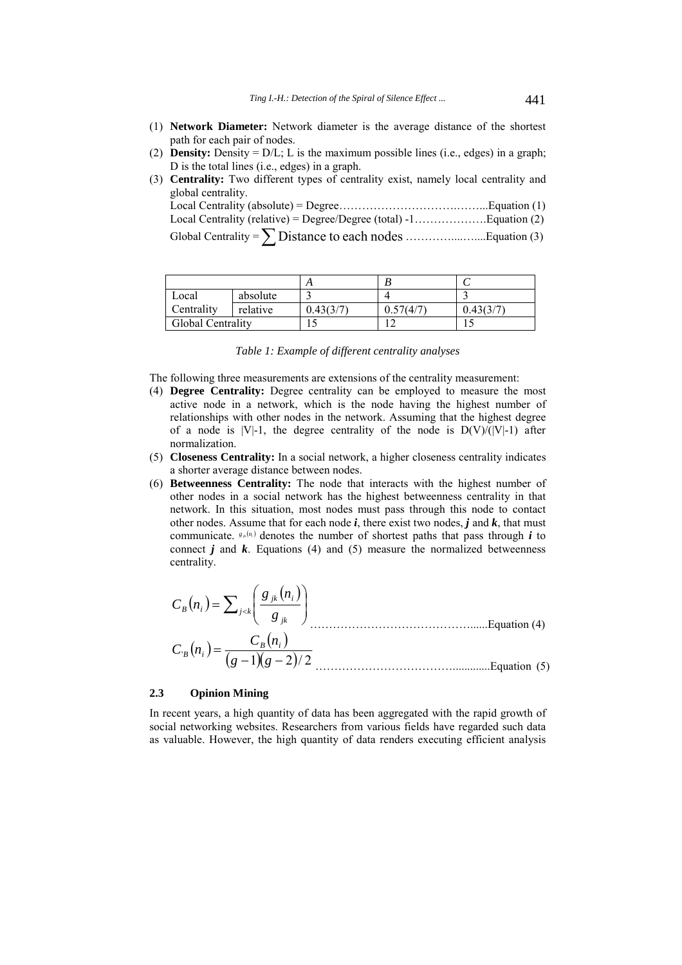- (1) **Network Diameter:** Network diameter is the average distance of the shortest path for each pair of nodes.
- (2) **Density:** Density  $= D/L$ ; L is the maximum possible lines (i.e., edges) in a graph; D is the total lines (i.e., edges) in a graph.
- (3) **Centrality:** Two different types of centrality exist, namely local centrality and global centrality.

| Local             | absolute |           |           |           |
|-------------------|----------|-----------|-----------|-----------|
| Centrality        | relative | 0.43(3/7) | 0.57(4/7) | 0.43(3/7) |
| Global Centrality |          | ت ا       |           |           |

*Table 1: Example of different centrality analyses*

The following three measurements are extensions of the centrality measurement:

- (4) **Degree Centrality:** Degree centrality can be employed to measure the most active node in a network, which is the node having the highest number of relationships with other nodes in the network. Assuming that the highest degree of a node is  $|V|-1$ , the degree centrality of the node is  $D(V)/(|V|-1)$  after normalization.
- (5) **Closeness Centrality:** In a social network, a higher closeness centrality indicates a shorter average distance between nodes.
- (6) **Betweenness Centrality:** The node that interacts with the highest number of other nodes in a social network has the highest betweenness centrality in that network. In this situation, most nodes must pass through this node to contact other nodes. Assume that for each node *i*, there exist two nodes, *j* and *k*, that must communicate.  $g_{\mu}(n_i)$  denotes the number of shortest paths that pass through *i* to connect  $j$  and  $k$ . Equations (4) and (5) measure the normalized betweenness centrality.

$$
C_B(n_i) = \sum_{j < k} \left( \frac{g_{jk}(n_i)}{g_{jk}} \right)
$$
\n
$$
C_B(n_i) = \frac{C_B(n_i)}{(g-1)(g-2)/2}
$$
\nEquation (4)\nEquation (5)

## **2.3 Opinion Mining**

In recent years, a high quantity of data has been aggregated with the rapid growth of social networking websites. Researchers from various fields have regarded such data as valuable. However, the high quantity of data renders executing efficient analysis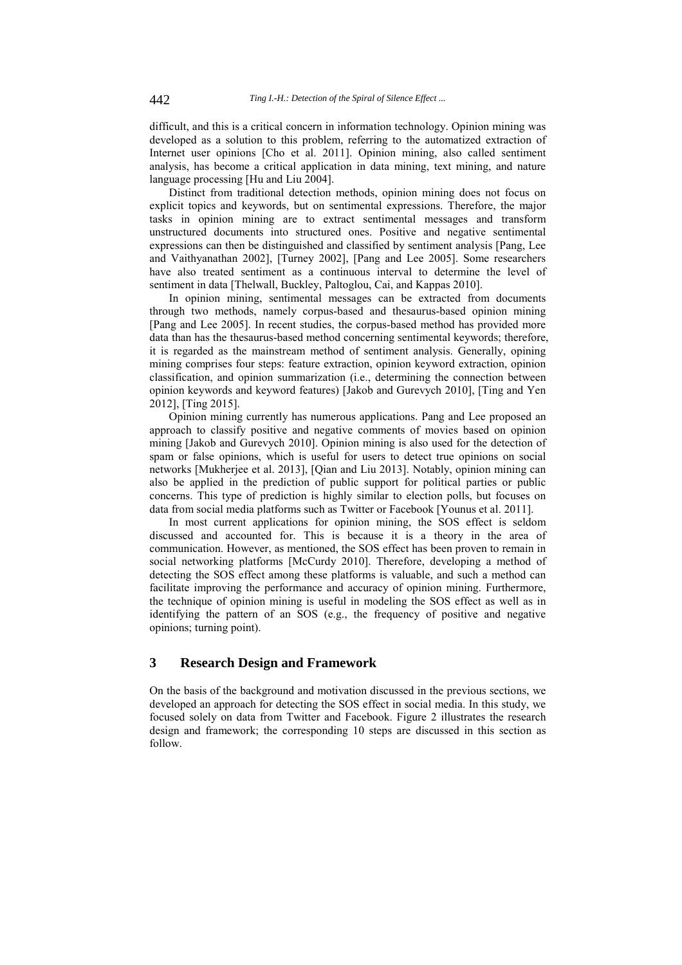difficult, and this is a critical concern in information technology. Opinion mining was developed as a solution to this problem, referring to the automatized extraction of Internet user opinions [Cho et al. 2011]. Opinion mining, also called sentiment analysis, has become a critical application in data mining, text mining, and nature language processing [Hu and Liu 2004].

Distinct from traditional detection methods, opinion mining does not focus on explicit topics and keywords, but on sentimental expressions. Therefore, the major tasks in opinion mining are to extract sentimental messages and transform unstructured documents into structured ones. Positive and negative sentimental expressions can then be distinguished and classified by sentiment analysis [Pang, Lee and Vaithyanathan 2002], [Turney 2002], [Pang and Lee 2005]. Some researchers have also treated sentiment as a continuous interval to determine the level of sentiment in data [Thelwall, Buckley, Paltoglou, Cai, and Kappas 2010].

In opinion mining, sentimental messages can be extracted from documents through two methods, namely corpus-based and thesaurus-based opinion mining [Pang and Lee 2005]. In recent studies, the corpus-based method has provided more data than has the thesaurus-based method concerning sentimental keywords; therefore, it is regarded as the mainstream method of sentiment analysis. Generally, opining mining comprises four steps: feature extraction, opinion keyword extraction, opinion classification, and opinion summarization (i.e., determining the connection between opinion keywords and keyword features) [Jakob and Gurevych 2010], [Ting and Yen 2012], [Ting 2015].

Opinion mining currently has numerous applications. Pang and Lee proposed an approach to classify positive and negative comments of movies based on opinion mining [Jakob and Gurevych 2010]. Opinion mining is also used for the detection of spam or false opinions, which is useful for users to detect true opinions on social networks [Mukherjee et al. 2013], [Qian and Liu 2013]. Notably, opinion mining can also be applied in the prediction of public support for political parties or public concerns. This type of prediction is highly similar to election polls, but focuses on data from social media platforms such as Twitter or Facebook [Younus et al. 2011].

In most current applications for opinion mining, the SOS effect is seldom discussed and accounted for. This is because it is a theory in the area of communication. However, as mentioned, the SOS effect has been proven to remain in social networking platforms [McCurdy 2010]. Therefore, developing a method of detecting the SOS effect among these platforms is valuable, and such a method can facilitate improving the performance and accuracy of opinion mining. Furthermore, the technique of opinion mining is useful in modeling the SOS effect as well as in identifying the pattern of an SOS (e.g., the frequency of positive and negative opinions; turning point).

# **3 Research Design and Framework**

On the basis of the background and motivation discussed in the previous sections, we developed an approach for detecting the SOS effect in social media. In this study, we focused solely on data from Twitter and Facebook. Figure 2 illustrates the research design and framework; the corresponding 10 steps are discussed in this section as follow.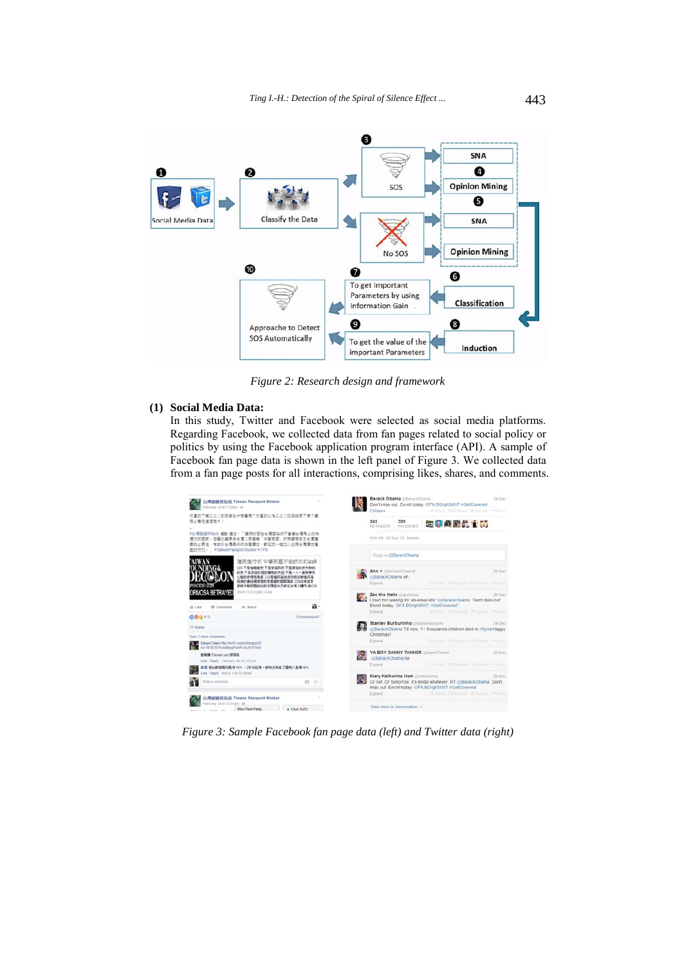

*Figure 2: Research design and framework* 

# **(1) Social Media Data:**

In this study, Twitter and Facebook were selected as social media platforms. Regarding Facebook, we collected data from fan pages related to social policy or politics by using the Facebook application program interface (API). A sample of Facebook fan page data is shown in the left panel of Figure 3. We collected data from a fan page posts for all interactions, comprising likes, shares, and comments.



*Figure 3: Sample Facebook fan page data (left) and Twitter data (right)*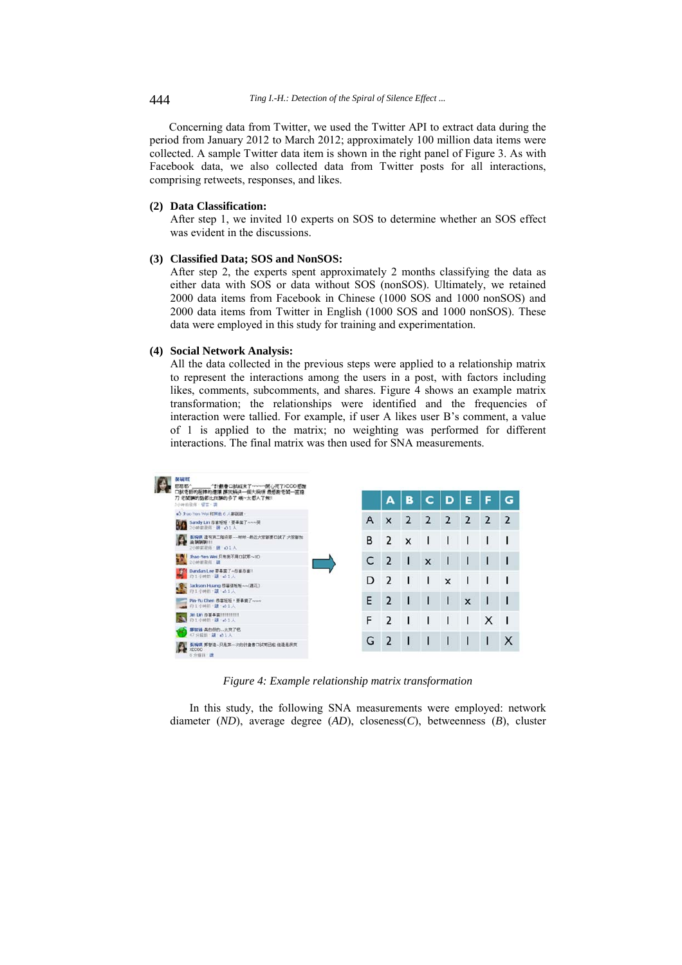Concerning data from Twitter, we used the Twitter API to extract data during the period from January 2012 to March 2012; approximately 100 million data items were collected. A sample Twitter data item is shown in the right panel of Figure 3. As with Facebook data, we also collected data from Twitter posts for all interactions, comprising retweets, responses, and likes.

#### **(2) Data Classification:**

After step 1, we invited 10 experts on SOS to determine whether an SOS effect was evident in the discussions.

#### **(3) Classified Data; SOS and NonSOS:**

After step 2, the experts spent approximately 2 months classifying the data as either data with SOS or data without SOS (nonSOS). Ultimately, we retained 2000 data items from Facebook in Chinese (1000 SOS and 1000 nonSOS) and 2000 data items from Twitter in English (1000 SOS and 1000 nonSOS). These data were employed in this study for training and experimentation.

### **(4) Social Network Analysis:**

All the data collected in the previous steps were applied to a relationship matrix to represent the interactions among the users in a post, with factors including likes, comments, subcomments, and shares. Figure 4 shows an example matrix transformation; the relationships were identified and the frequencies of interaction were tallied. For example, if user A likes user B's comment, a value of 1 is applied to the matrix; no weighting was performed for different interactions. The final matrix was then used for SNA measurements.



*Figure 4: Example relationship matrix transformation* 

In this study, the following SNA measurements were employed: network diameter (*ND*), average degree (*AD*), closeness(*C*), betweenness (*B*), cluster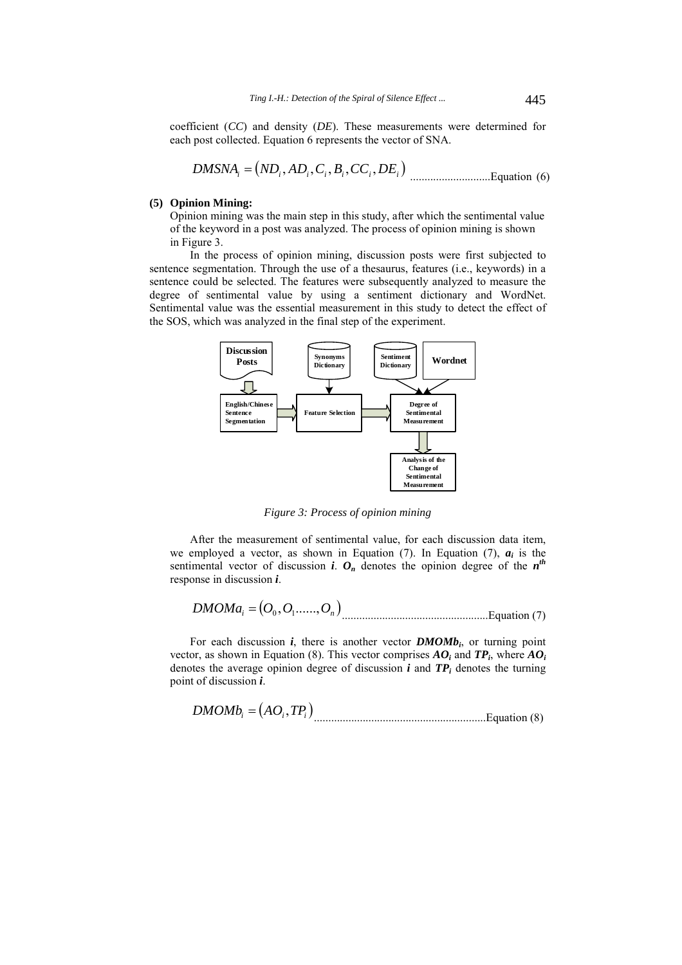coefficient (*CC*) and density (*DE*). These measurements were determined for each post collected. Equation 6 represents the vector of SNA.

$$
DMSNA_i = (ND_i, AD_i, C_i, B_i, CC_i, DE_i)
$$
 
$$
\dots
$$
 Equation (6)

#### **(5) Opinion Mining:**

Opinion mining was the main step in this study, after which the sentimental value of the keyword in a post was analyzed. The process of opinion mining is shown in Figure 3.

In the process of opinion mining, discussion posts were first subjected to sentence segmentation. Through the use of a thesaurus, features (i.e., keywords) in a sentence could be selected. The features were subsequently analyzed to measure the degree of sentimental value by using a sentiment dictionary and WordNet. Sentimental value was the essential measurement in this study to detect the effect of the SOS, which was analyzed in the final step of the experiment.



*Figure 3: Process of opinion mining* 

After the measurement of sentimental value, for each discussion data item, we employed a vector, as shown in Equation  $(7)$ . In Equation  $(7)$ ,  $a_i$  is the sentimental vector of discussion *i*.  $O_n$  denotes the opinion degree of the  $n^{th}$ response in discussion *i*.

$$
DMOMa_i = (O_0, O_1, \dots, O_n)
$$

For each discussion  $i$ , there is another vector  $\textit{DMOMb}_i$ , or turning point vector, as shown in Equation (8). This vector comprises  $AO_i$  and  $TP_i$ , where  $AO_i$ denotes the average opinion degree of discussion  $i$  and  $TP_i$  denotes the turning point of discussion *i*.

............................................................Equation (8) *DMOMbi AOi TPi* ,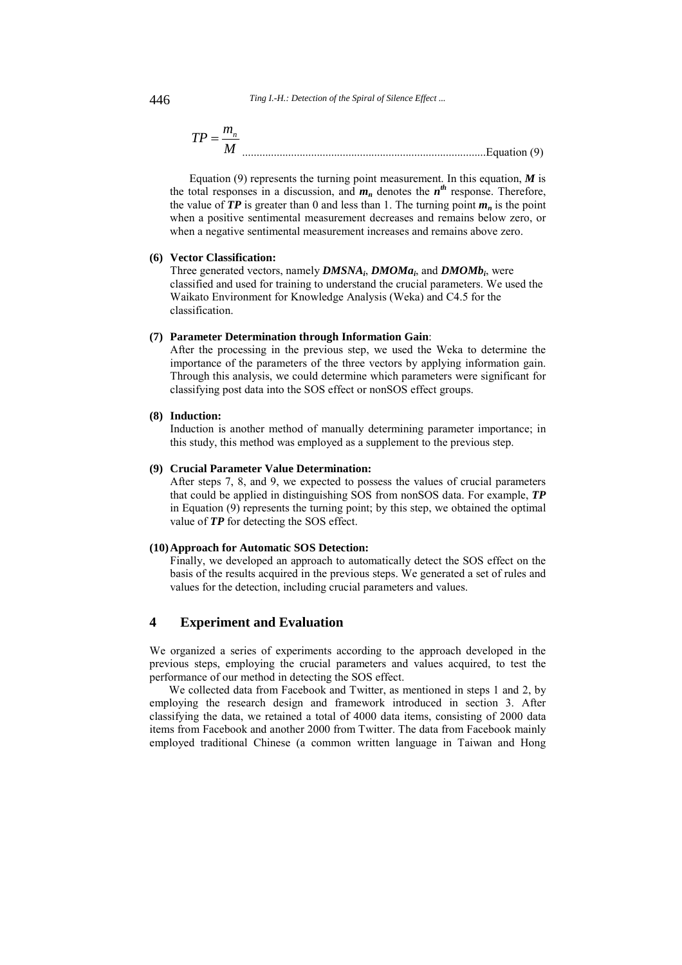446 *Ting I.-H.: Detection of the Spiral of Silence Effect ...*

$$
TP = \frac{m_n}{M}
$$

Equation (9) represents the turning point measurement. In this equation,  $\vec{M}$  is the total responses in a discussion, and  $m_n$  denotes the  $n^{th}$  response. Therefore, the value of  $TP$  is greater than 0 and less than 1. The turning point  $m_n$  is the point when a positive sentimental measurement decreases and remains below zero, or when a negative sentimental measurement increases and remains above zero.

## **(6) Vector Classification:**

Three generated vectors, namely *DMSNAi*, *DMOMai*, and *DMOMbi*, were classified and used for training to understand the crucial parameters. We used the Waikato Environment for Knowledge Analysis (Weka) and C4.5 for the classification.

#### **(7) Parameter Determination through Information Gain**:

After the processing in the previous step, we used the Weka to determine the importance of the parameters of the three vectors by applying information gain. Through this analysis, we could determine which parameters were significant for classifying post data into the SOS effect or nonSOS effect groups.

#### **(8) Induction:**

Induction is another method of manually determining parameter importance; in this study, this method was employed as a supplement to the previous step.

#### **(9) Crucial Parameter Value Determination:**

After steps 7, 8, and 9, we expected to possess the values of crucial parameters that could be applied in distinguishing SOS from nonSOS data. For example, *TP* in Equation (9) represents the turning point; by this step, we obtained the optimal value of *TP* for detecting the SOS effect.

## **(10)Approach for Automatic SOS Detection:**

Finally, we developed an approach to automatically detect the SOS effect on the basis of the results acquired in the previous steps. We generated a set of rules and values for the detection, including crucial parameters and values.

# **4 Experiment and Evaluation**

We organized a series of experiments according to the approach developed in the previous steps, employing the crucial parameters and values acquired, to test the performance of our method in detecting the SOS effect.

We collected data from Facebook and Twitter, as mentioned in steps 1 and 2, by employing the research design and framework introduced in section 3. After classifying the data, we retained a total of 4000 data items, consisting of 2000 data items from Facebook and another 2000 from Twitter. The data from Facebook mainly employed traditional Chinese (a common written language in Taiwan and Hong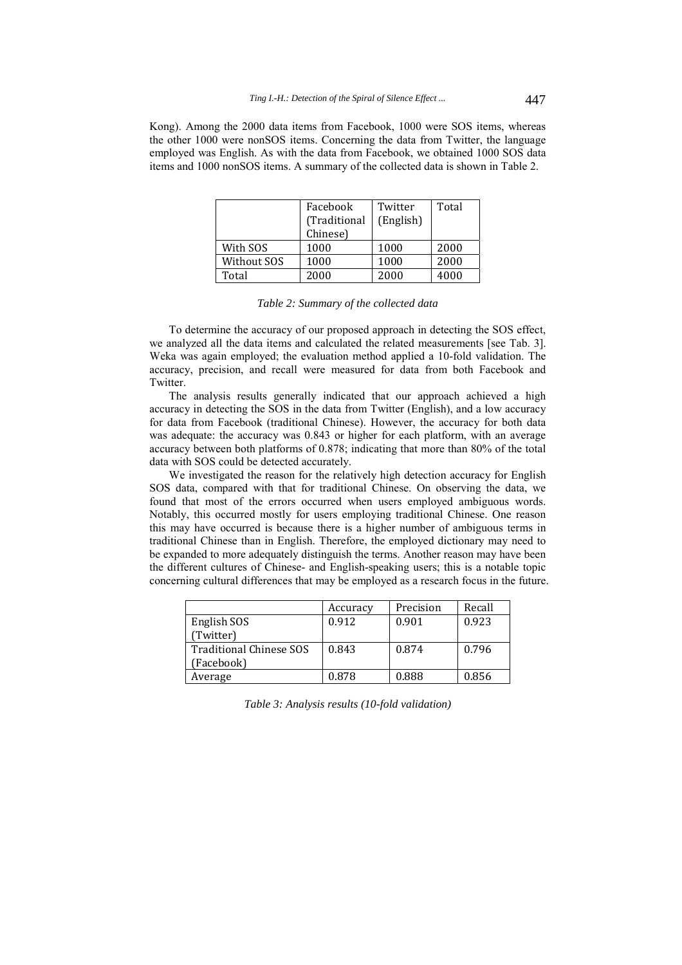Kong). Among the 2000 data items from Facebook, 1000 were SOS items, whereas the other 1000 were nonSOS items. Concerning the data from Twitter, the language employed was English. As with the data from Facebook, we obtained 1000 SOS data items and 1000 nonSOS items. A summary of the collected data is shown in Table 2.

|             | Facebook<br>(Traditional | Twitter<br>(English) | Total |
|-------------|--------------------------|----------------------|-------|
|             | Chinese)                 |                      |       |
| With SOS    | 1000                     | 1000                 | 2000  |
| Without SOS | 1000                     | 1000                 | 2000  |
| Total       | 2000                     | 2000                 | 4000  |

*Table 2: Summary of the collected data*

To determine the accuracy of our proposed approach in detecting the SOS effect, we analyzed all the data items and calculated the related measurements [see Tab. 3]. Weka was again employed; the evaluation method applied a 10-fold validation. The accuracy, precision, and recall were measured for data from both Facebook and Twitter.

The analysis results generally indicated that our approach achieved a high accuracy in detecting the SOS in the data from Twitter (English), and a low accuracy for data from Facebook (traditional Chinese). However, the accuracy for both data was adequate: the accuracy was 0.843 or higher for each platform, with an average accuracy between both platforms of 0.878; indicating that more than 80% of the total data with SOS could be detected accurately.

We investigated the reason for the relatively high detection accuracy for English SOS data, compared with that for traditional Chinese. On observing the data, we found that most of the errors occurred when users employed ambiguous words. Notably, this occurred mostly for users employing traditional Chinese. One reason this may have occurred is because there is a higher number of ambiguous terms in traditional Chinese than in English. Therefore, the employed dictionary may need to be expanded to more adequately distinguish the terms. Another reason may have been the different cultures of Chinese- and English-speaking users; this is a notable topic concerning cultural differences that may be employed as a research focus in the future.

|                         | Accuracy | Precision | Recall |
|-------------------------|----------|-----------|--------|
| English SOS             | 0.912    | 0.901     | 0.923  |
| (Twitter)               |          |           |        |
| Traditional Chinese SOS | 0.843    | 0.874     | 0.796  |
| (Facebook)              |          |           |        |
| Average                 | 0.878    | 0.888     | 0.856  |

*Table 3: Analysis results (10-fold validation)*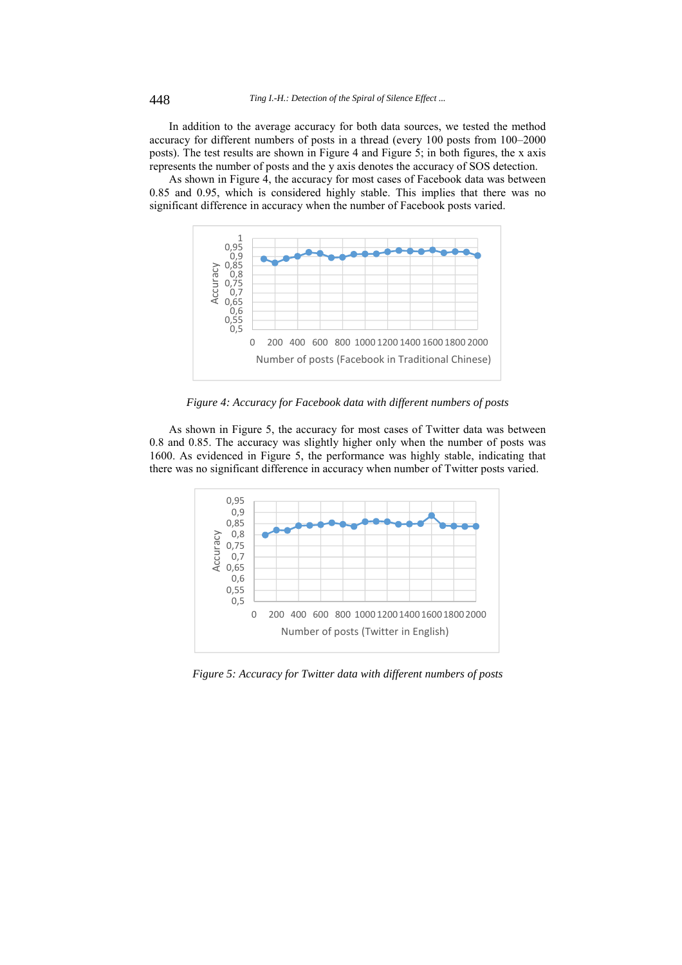In addition to the average accuracy for both data sources, we tested the method accuracy for different numbers of posts in a thread (every 100 posts from 100–2000 posts). The test results are shown in Figure 4 and Figure 5; in both figures, the x axis represents the number of posts and the y axis denotes the accuracy of SOS detection.

As shown in Figure 4, the accuracy for most cases of Facebook data was between 0.85 and 0.95, which is considered highly stable. This implies that there was no significant difference in accuracy when the number of Facebook posts varied.



*Figure 4: Accuracy for Facebook data with different numbers of posts* 

As shown in Figure 5, the accuracy for most cases of Twitter data was between 0.8 and 0.85. The accuracy was slightly higher only when the number of posts was 1600. As evidenced in Figure 5, the performance was highly stable, indicating that there was no significant difference in accuracy when number of Twitter posts varied.



*Figure 5: Accuracy for Twitter data with different numbers of posts*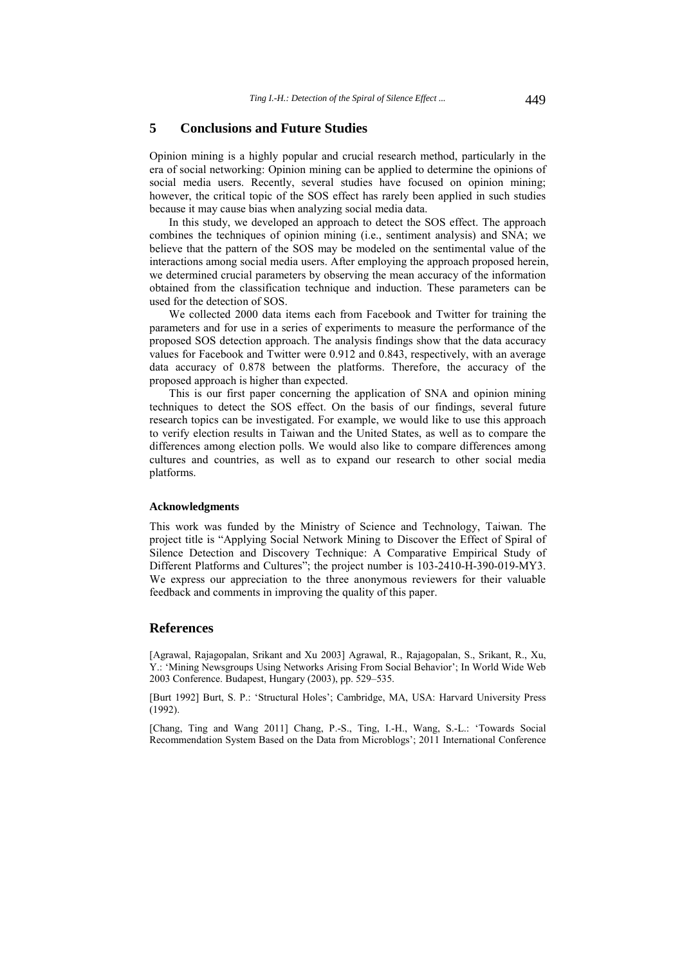# **5 Conclusions and Future Studies**

Opinion mining is a highly popular and crucial research method, particularly in the era of social networking: Opinion mining can be applied to determine the opinions of social media users. Recently, several studies have focused on opinion mining; however, the critical topic of the SOS effect has rarely been applied in such studies because it may cause bias when analyzing social media data.

In this study, we developed an approach to detect the SOS effect. The approach combines the techniques of opinion mining (i.e., sentiment analysis) and SNA; we believe that the pattern of the SOS may be modeled on the sentimental value of the interactions among social media users. After employing the approach proposed herein, we determined crucial parameters by observing the mean accuracy of the information obtained from the classification technique and induction. These parameters can be used for the detection of SOS.

We collected 2000 data items each from Facebook and Twitter for training the parameters and for use in a series of experiments to measure the performance of the proposed SOS detection approach. The analysis findings show that the data accuracy values for Facebook and Twitter were 0.912 and 0.843, respectively, with an average data accuracy of 0.878 between the platforms. Therefore, the accuracy of the proposed approach is higher than expected.

This is our first paper concerning the application of SNA and opinion mining techniques to detect the SOS effect. On the basis of our findings, several future research topics can be investigated. For example, we would like to use this approach to verify election results in Taiwan and the United States, as well as to compare the differences among election polls. We would also like to compare differences among cultures and countries, as well as to expand our research to other social media platforms.

#### **Acknowledgments**

This work was funded by the Ministry of Science and Technology, Taiwan. The project title is "Applying Social Network Mining to Discover the Effect of Spiral of Silence Detection and Discovery Technique: A Comparative Empirical Study of Different Platforms and Cultures"; the project number is 103-2410-H-390-019-MY3. We express our appreciation to the three anonymous reviewers for their valuable feedback and comments in improving the quality of this paper.

## **References**

[Agrawal, Rajagopalan, Srikant and Xu 2003] Agrawal, R., Rajagopalan, S., Srikant, R., Xu, Y.: 'Mining Newsgroups Using Networks Arising From Social Behavior'; In World Wide Web 2003 Conference. Budapest, Hungary (2003), pp. 529–535.

[Burt 1992] Burt, S. P.: 'Structural Holes'; Cambridge, MA, USA: Harvard University Press (1992).

[Chang, Ting and Wang 2011] Chang, P.-S., Ting, I.-H., Wang, S.-L.: 'Towards Social Recommendation System Based on the Data from Microblogs'; 2011 International Conference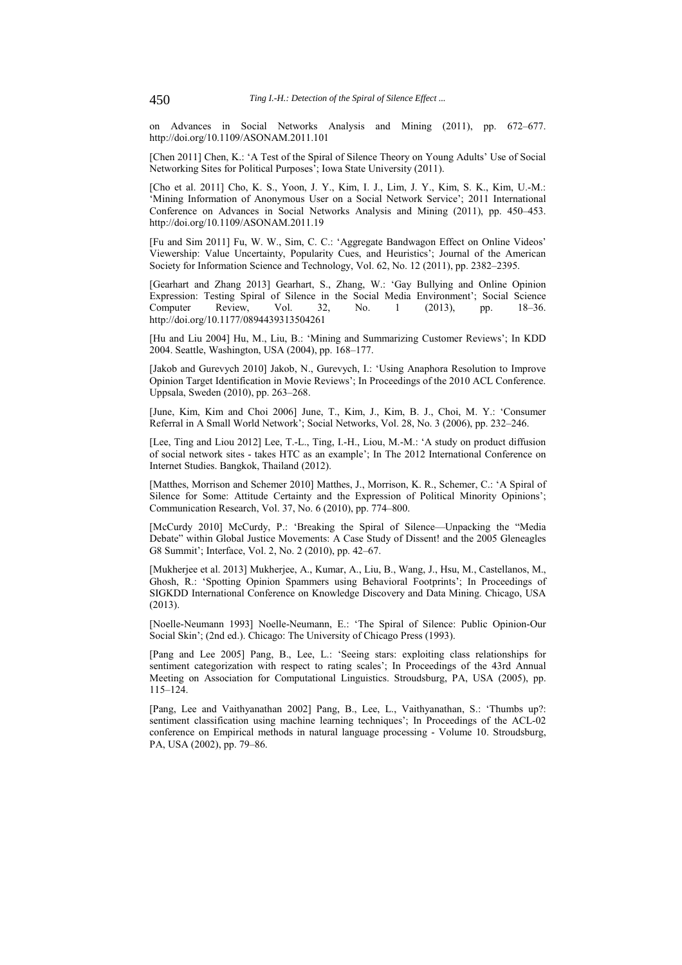on Advances in Social Networks Analysis and Mining (2011), pp. 672–677. http://doi.org/10.1109/ASONAM.2011.101

[Chen 2011] Chen, K.: 'A Test of the Spiral of Silence Theory on Young Adults' Use of Social Networking Sites for Political Purposes'; Iowa State University (2011).

[Cho et al. 2011] Cho, K. S., Yoon, J. Y., Kim, I. J., Lim, J. Y., Kim, S. K., Kim, U.-M.: 'Mining Information of Anonymous User on a Social Network Service'; 2011 International Conference on Advances in Social Networks Analysis and Mining (2011), pp. 450–453. http://doi.org/10.1109/ASONAM.2011.19

[Fu and Sim 2011] Fu, W. W., Sim, C. C.: 'Aggregate Bandwagon Effect on Online Videos' Viewership: Value Uncertainty, Popularity Cues, and Heuristics'; Journal of the American Society for Information Science and Technology, Vol. 62, No. 12 (2011), pp. 2382–2395.

[Gearhart and Zhang 2013] Gearhart, S., Zhang, W.: 'Gay Bullying and Online Opinion Expression: Testing Spiral of Silence in the Social Media Environment'; Social Science Computer Review, Vol. 32, No. 1 (2013), pp. 18–36. http://doi.org/10.1177/0894439313504261

[Hu and Liu 2004] Hu, M., Liu, B.: 'Mining and Summarizing Customer Reviews'; In KDD 2004. Seattle, Washington, USA (2004), pp. 168–177.

[Jakob and Gurevych 2010] Jakob, N., Gurevych, I.: 'Using Anaphora Resolution to Improve Opinion Target Identification in Movie Reviews'; In Proceedings of the 2010 ACL Conference. Uppsala, Sweden (2010), pp. 263–268.

[June, Kim, Kim and Choi 2006] June, T., Kim, J., Kim, B. J., Choi, M. Y.: 'Consumer Referral in A Small World Network'; Social Networks, Vol. 28, No. 3 (2006), pp. 232–246.

[Lee, Ting and Liou 2012] Lee, T.-L., Ting, I.-H., Liou, M.-M.: 'A study on product diffusion of social network sites - takes HTC as an example'; In The 2012 International Conference on Internet Studies. Bangkok, Thailand (2012).

[Matthes, Morrison and Schemer 2010] Matthes, J., Morrison, K. R., Schemer, C.: 'A Spiral of Silence for Some: Attitude Certainty and the Expression of Political Minority Opinions'; Communication Research, Vol. 37, No. 6 (2010), pp. 774–800.

[McCurdy 2010] McCurdy, P.: 'Breaking the Spiral of Silence—Unpacking the "Media Debate" within Global Justice Movements: A Case Study of Dissent! and the 2005 Gleneagles G8 Summit'; Interface, Vol. 2, No. 2 (2010), pp. 42–67.

[Mukherjee et al. 2013] Mukherjee, A., Kumar, A., Liu, B., Wang, J., Hsu, M., Castellanos, M., Ghosh, R.: 'Spotting Opinion Spammers using Behavioral Footprints'; In Proceedings of SIGKDD International Conference on Knowledge Discovery and Data Mining. Chicago, USA (2013).

[Noelle-Neumann 1993] Noelle-Neumann, E.: 'The Spiral of Silence: Public Opinion-Our Social Skin'; (2nd ed.). Chicago: The University of Chicago Press (1993).

[Pang and Lee 2005] Pang, B., Lee, L.: 'Seeing stars: exploiting class relationships for sentiment categorization with respect to rating scales'; In Proceedings of the 43rd Annual Meeting on Association for Computational Linguistics. Stroudsburg, PA, USA (2005), pp. 115–124.

[Pang, Lee and Vaithyanathan 2002] Pang, B., Lee, L., Vaithyanathan, S.: 'Thumbs up?: sentiment classification using machine learning techniques'; In Proceedings of the ACL-02 conference on Empirical methods in natural language processing - Volume 10. Stroudsburg, PA, USA (2002), pp. 79–86.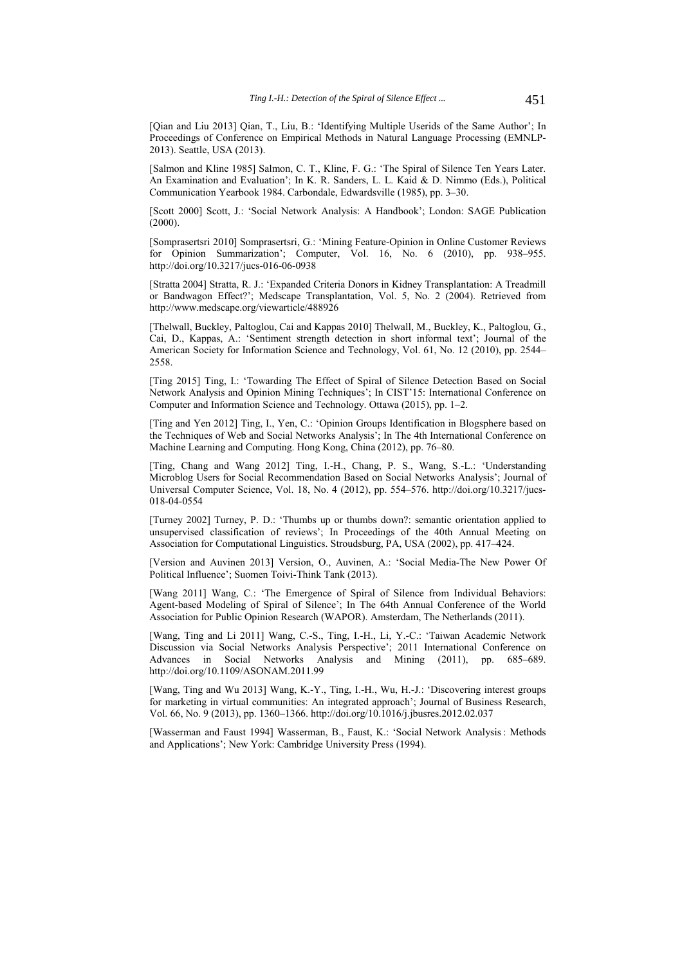[Qian and Liu 2013] Qian, T., Liu, B.: 'Identifying Multiple Userids of the Same Author'; In Proceedings of Conference on Empirical Methods in Natural Language Processing (EMNLP-2013). Seattle, USA (2013).

[Salmon and Kline 1985] Salmon, C. T., Kline, F. G.: 'The Spiral of Silence Ten Years Later. An Examination and Evaluation'; In K. R. Sanders, L. L. Kaid & D. Nimmo (Eds.), Political Communication Yearbook 1984. Carbondale, Edwardsville (1985), pp. 3–30.

[Scott 2000] Scott, J.: 'Social Network Analysis: A Handbook'; London: SAGE Publication  $(2000)$ .

[Somprasertsri 2010] Somprasertsri, G.: 'Mining Feature-Opinion in Online Customer Reviews for Opinion Summarization'; Computer, Vol. 16, No. 6 (2010), pp. 938–955. http://doi.org/10.3217/jucs-016-06-0938

[Stratta 2004] Stratta, R. J.: 'Expanded Criteria Donors in Kidney Transplantation: A Treadmill or Bandwagon Effect?'; Medscape Transplantation, Vol. 5, No. 2 (2004). Retrieved from http://www.medscape.org/viewarticle/488926

[Thelwall, Buckley, Paltoglou, Cai and Kappas 2010] Thelwall, M., Buckley, K., Paltoglou, G., Cai, D., Kappas, A.: 'Sentiment strength detection in short informal text'; Journal of the American Society for Information Science and Technology, Vol. 61, No. 12 (2010), pp. 2544– 2558.

[Ting 2015] Ting, I.: 'Towarding The Effect of Spiral of Silence Detection Based on Social Network Analysis and Opinion Mining Techniques'; In CIST'15: International Conference on Computer and Information Science and Technology. Ottawa (2015), pp. 1–2.

[Ting and Yen 2012] Ting, I., Yen, C.: 'Opinion Groups Identification in Blogsphere based on the Techniques of Web and Social Networks Analysis'; In The 4th International Conference on Machine Learning and Computing. Hong Kong, China (2012), pp. 76–80.

[Ting, Chang and Wang 2012] Ting, I.-H., Chang, P. S., Wang, S.-L.: 'Understanding Microblog Users for Social Recommendation Based on Social Networks Analysis'; Journal of Universal Computer Science, Vol. 18, No. 4 (2012), pp. 554–576. http://doi.org/10.3217/jucs-018-04-0554

[Turney 2002] Turney, P. D.: 'Thumbs up or thumbs down?: semantic orientation applied to unsupervised classification of reviews'; In Proceedings of the 40th Annual Meeting on Association for Computational Linguistics. Stroudsburg, PA, USA (2002), pp. 417–424.

[Version and Auvinen 2013] Version, O., Auvinen, A.: 'Social Media-The New Power Of Political Influence'; Suomen Toivi-Think Tank (2013).

[Wang 2011] Wang, C.: 'The Emergence of Spiral of Silence from Individual Behaviors: Agent-based Modeling of Spiral of Silence'; In The 64th Annual Conference of the World Association for Public Opinion Research (WAPOR). Amsterdam, The Netherlands (2011).

[Wang, Ting and Li 2011] Wang, C.-S., Ting, I.-H., Li, Y.-C.: 'Taiwan Academic Network Discussion via Social Networks Analysis Perspective'; 2011 International Conference on Advances in Social Networks Analysis and Mining (2011), pp. 685–689. http://doi.org/10.1109/ASONAM.2011.99

[Wang, Ting and Wu 2013] Wang, K.-Y., Ting, I.-H., Wu, H.-J.: 'Discovering interest groups for marketing in virtual communities: An integrated approach'; Journal of Business Research, Vol. 66, No. 9 (2013), pp. 1360–1366. http://doi.org/10.1016/j.jbusres.2012.02.037

[Wasserman and Faust 1994] Wasserman, B., Faust, K.: 'Social Network Analysis: Methods and Applications'; New York: Cambridge University Press (1994).